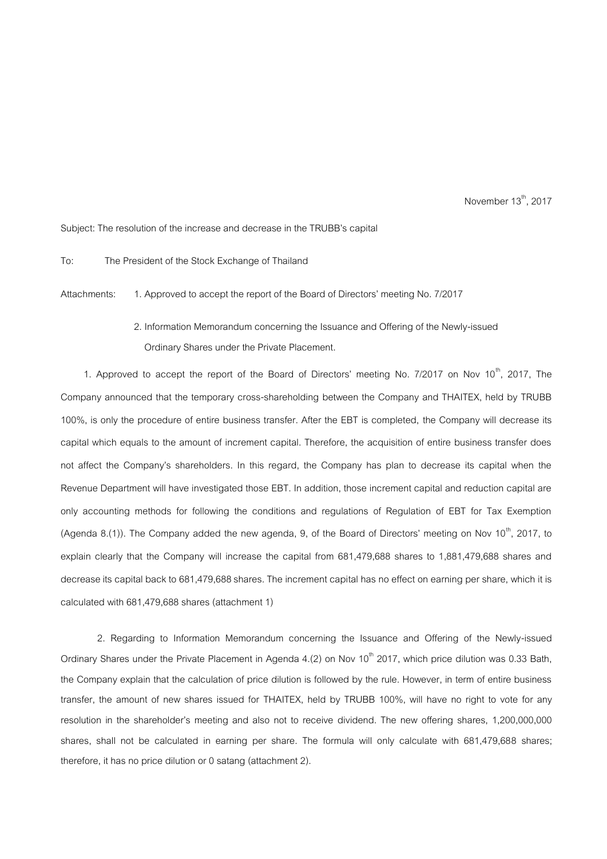November  $13^{th}$ , 2017

Subject: The resolution of the increase and decrease in the TRUBB's capital

To: The President of the Stock Exchange of Thailand

Attachments: 1. Approved to accept the report of the Board of Directors' meeting No. 7/2017

2. Information Memorandum concerning the Issuance and Offering of the Newly-issued Ordinary Shares under the Private Placement.

1. Approved to accept the report of the Board of Directors' meeting No. 7/2017 on Nov  $10^{th}$ , 2017, The Company announced that the temporary cross-shareholding between the Company and THAITEX, held by TRUBB 100%, is only the procedure of entire business transfer. After the EBT is completed, the Company will decrease its capital which equals to the amount of increment capital. Therefore, the acquisition of entire business transfer does not affect the Company's shareholders. In this regard, the Company has plan to decrease its capital when the Revenue Department will have investigated those EBT. In addition, those increment capital and reduction capital are only accounting methods for following the conditions and regulations of Regulation of EBT for Tax Exemption (Agenda 8.(1)). The Company added the new agenda, 9, of the Board of Directors' meeting on Nov 10<sup>th</sup>, 2017, to explain clearly that the Company will increase the capital from 681,479,688 shares to 1,881,479,688 shares and decrease its capital back to 681,479,688 shares. The increment capital has no effect on earning per share, which it is calculated with 681,479,688 shares (attachment 1)

2. Regarding to Information Memorandum concerning the Issuance and Offering of the Newly-issued Ordinary Shares under the Private Placement in Agenda 4.(2) on Nov 10<sup>th</sup> 2017, which price dilution was 0.33 Bath, the Company explain that the calculation of price dilution is followed by the rule. However, in term of entire business transfer, the amount of new shares issued for THAITEX, held by TRUBB 100%, will have no right to vote for any resolution in the shareholder's meeting and also not to receive dividend. The new offering shares, 1,200,000,000 shares, shall not be calculated in earning per share. The formula will only calculate with 681,479,688 shares; therefore, it has no price dilution or 0 satang (attachment 2).